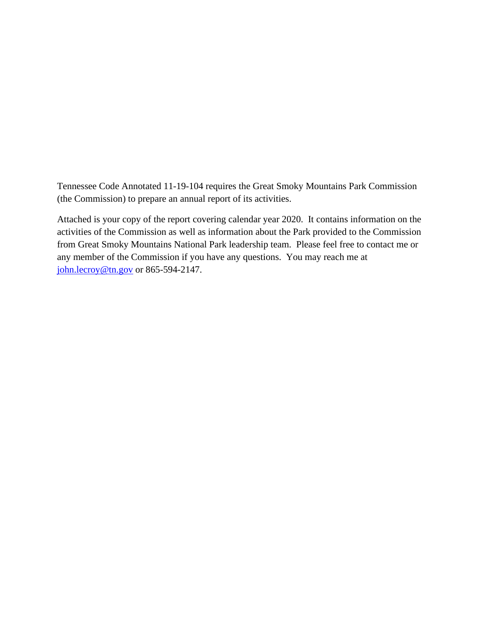Tennessee Code Annotated 11-19-104 requires the Great Smoky Mountains Park Commission (the Commission) to prepare an annual report of its activities.

Attached is your copy of the report covering calendar year 2020. It contains information on the activities of the Commission as well as information about the Park provided to the Commission from Great Smoky Mountains National Park leadership team. Please feel free to contact me or any member of the Commission if you have any questions. You may reach me at [john.lecroy@tn.gov](mailto:john.lecroy@tn.gov) or 865-594-2147.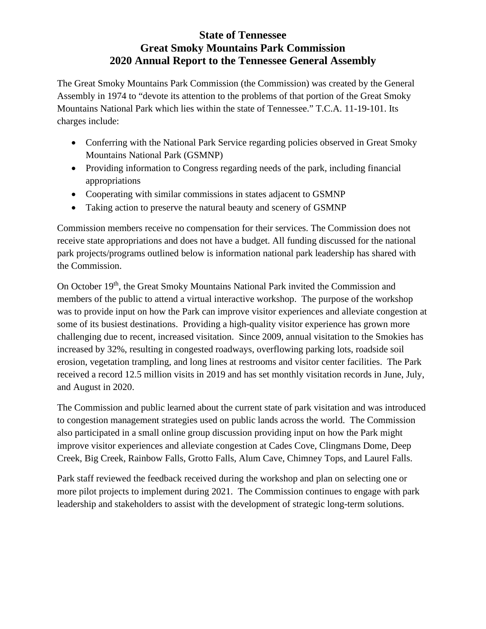## **State of Tennessee Great Smoky Mountains Park Commission 2020 Annual Report to the Tennessee General Assembly**

The Great Smoky Mountains Park Commission (the Commission) was created by the General Assembly in 1974 to "devote its attention to the problems of that portion of the Great Smoky Mountains National Park which lies within the state of Tennessee." T.C.A. 11-19-101. Its charges include:

- Conferring with the National Park Service regarding policies observed in Great Smoky Mountains National Park (GSMNP)
- Providing information to Congress regarding needs of the park, including financial appropriations
- Cooperating with similar commissions in states adjacent to GSMNP
- Taking action to preserve the natural beauty and scenery of GSMNP

Commission members receive no compensation for their services. The Commission does not receive state appropriations and does not have a budget. All funding discussed for the national park projects/programs outlined below is information national park leadership has shared with the Commission.

On October 19<sup>th</sup>, the Great Smoky Mountains National Park invited the Commission and members of the public to attend a virtual interactive workshop. The purpose of the workshop was to provide input on how the Park can improve visitor experiences and alleviate congestion at some of its busiest destinations. Providing a high-quality visitor experience has grown more challenging due to recent, increased visitation. Since 2009, annual visitation to the Smokies has increased by 32%, resulting in congested roadways, overflowing parking lots, roadside soil erosion, vegetation trampling, and long lines at restrooms and visitor center facilities. The Park received a record 12.5 million visits in 2019 and has set monthly visitation records in June, July, and August in 2020.

The Commission and public learned about the current state of park visitation and was introduced to congestion management strategies used on public lands across the world. The Commission also participated in a small online group discussion providing input on how the Park might improve visitor experiences and alleviate congestion at Cades Cove, Clingmans Dome, Deep Creek, Big Creek, Rainbow Falls, Grotto Falls, Alum Cave, Chimney Tops, and Laurel Falls.

Park staff reviewed the feedback received during the workshop and plan on selecting one or more pilot projects to implement during 2021. The Commission continues to engage with park leadership and stakeholders to assist with the development of strategic long-term solutions.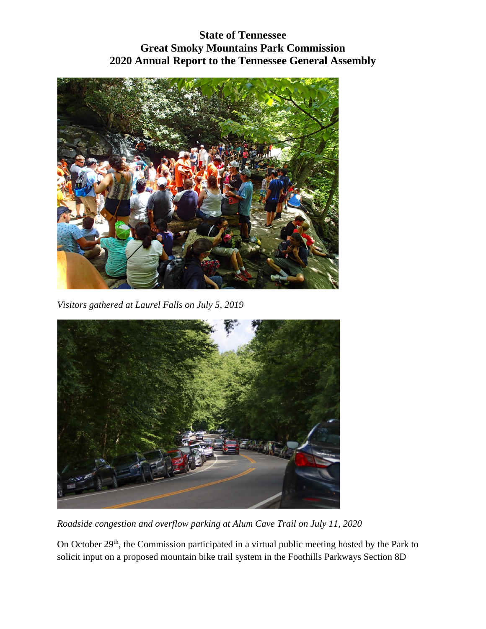## **State of Tennessee Great Smoky Mountains Park Commission 2020 Annual Report to the Tennessee General Assembly**



*Visitors gathered at Laurel Falls on July 5, 2019*



*Roadside congestion and overflow parking at Alum Cave Trail on July 11, 2020*

On October 29<sup>th</sup>, the Commission participated in a virtual public meeting hosted by the Park to solicit input on a proposed mountain bike trail system in the Foothills Parkways Section 8D